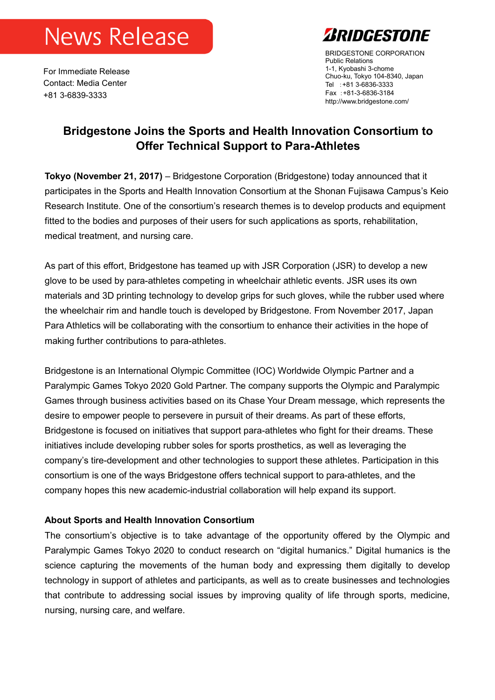## **News Release**

For Immediate Release Contact: Media Center +81 3-6839-3333



BRIDGESTONE CORPORATION Public Relations 1-1, Kyobashi 3-chome Chuo-ku, Tokyo 104-8340, Japan Tel :+81 3-6836-3333 Fax :+81-3-6836-3184 http://www.bridgestone.com/

## **Bridgestone Joins the Sports and Health Innovation Consortium to Offer Technical Support to Para-Athletes**

**Tokyo (November 21, 2017)** – Bridgestone Corporation (Bridgestone) today announced that it participates in the Sports and Health Innovation Consortium at the Shonan Fujisawa Campus's Keio Research Institute. One of the consortium's research themes is to develop products and equipment fitted to the bodies and purposes of their users for such applications as sports, rehabilitation, medical treatment, and nursing care.

As part of this effort, Bridgestone has teamed up with JSR Corporation (JSR) to develop a new glove to be used by para-athletes competing in wheelchair athletic events. JSR uses its own materials and 3D printing technology to develop grips for such gloves, while the rubber used where the wheelchair rim and handle touch is developed by Bridgestone. From November 2017, Japan Para Athletics will be collaborating with the consortium to enhance their activities in the hope of making further contributions to para-athletes.

Bridgestone is an International Olympic Committee (IOC) Worldwide Olympic Partner and a Paralympic Games Tokyo 2020 Gold Partner. The company supports the Olympic and Paralympic Games through business activities based on its Chase Your Dream message, which represents the desire to empower people to persevere in pursuit of their dreams. As part of these efforts, Bridgestone is focused on initiatives that support para-athletes who fight for their dreams. These initiatives include developing rubber soles for sports prosthetics, as well as leveraging the company's tire-development and other technologies to support these athletes. Participation in this consortium is one of the ways Bridgestone offers technical support to para-athletes, and the company hopes this new academic-industrial collaboration will help expand its support.

## **About Sports and Health Innovation Consortium**

The consortium's objective is to take advantage of the opportunity offered by the Olympic and Paralympic Games Tokyo 2020 to conduct research on "digital humanics." Digital humanics is the science capturing the movements of the human body and expressing them digitally to develop technology in support of athletes and participants, as well as to create businesses and technologies that contribute to addressing social issues by improving quality of life through sports, medicine, nursing, nursing care, and welfare.